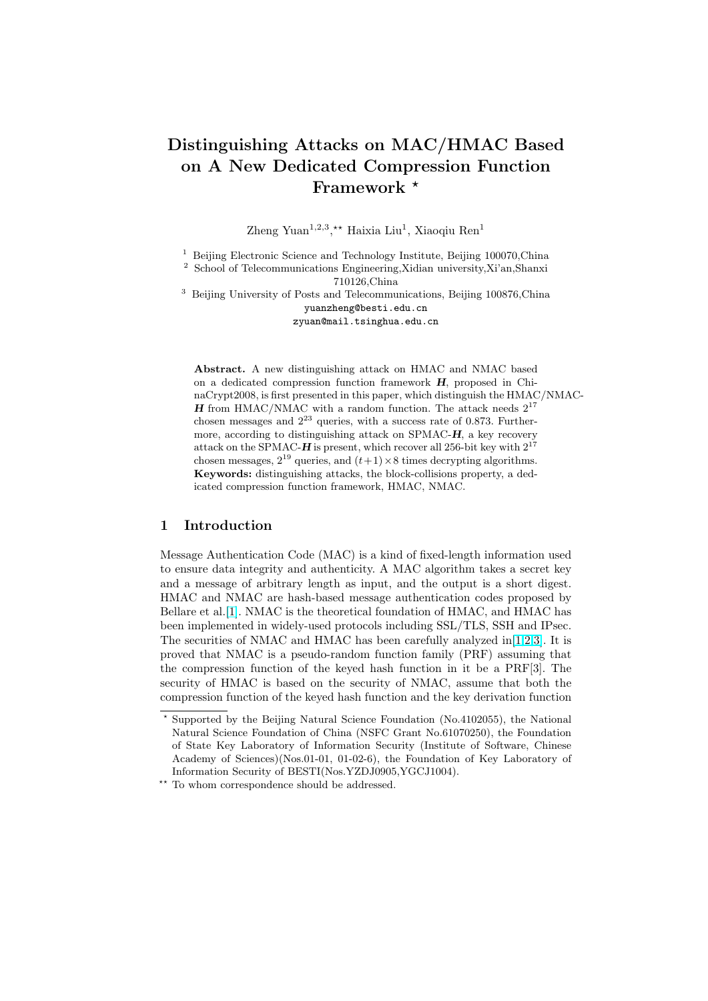# Distinguishing Attacks on MAC/HMAC Based on A New Dedicated Compression Function Framework \*

Zheng Yuan<sup>1,2,3</sup>,<sup>\*\*</sup> Haixia Liu<sup>1</sup>, Xiaoqiu Ren<sup>1</sup>

<sup>1</sup> Beijing Electronic Science and Technology Institute, Beijing 100070, China

<sup>2</sup> School of Telecommunications Engineering,Xidian university,Xi'an,Shanxi

710126,China

<sup>3</sup> Beijing University of Posts and Telecommunications, Beijing 100876,China yuanzheng@besti.edu.cn zyuan@mail.tsinghua.edu.cn

Abstract. A new distinguishing attack on HMAC and NMAC based on a dedicated compression function framework H, proposed in ChinaCrypt2008, is first presented in this paper, which distinguish the HMAC/NMAC-**H** from HMAC/NMAC with a random function. The attack needs  $2^{17}$ chosen messages and  $2^{23}$  queries, with a success rate of 0.873. Furthermore, according to distinguishing attack on SPMAC- $H$ , a key recovery attack on the SPMAC- $\bf{H}$  is present, which recover all 256-bit key with  $2^{17}$ chosen messages,  $2^{19}$  queries, and  $(t+1) \times 8$  times decrypting algorithms. Keywords: distinguishing attacks, the block-collisions property, a dedicated compression function framework, HMAC, NMAC.

## 1 Introduction

Message Authentication Code (MAC) is a kind of fixed-length information used to ensure data integrity and authenticity. A MAC algorithm takes a secret key and a message of arbitrary length as input, and the output is a short digest. HMAC and NMAC are hash-based message authentication codes proposed by Bellare et al.[1]. NMAC is the theoretical foundation of HMAC, and HMAC has been implemented in widely-used protocols including SSL/TLS, SSH and IPsec. The securities of NMAC and HMAC has been carefully analyzed in[1,2,3]. It is proved that NMAC is a pseudo-random function family (PRF) assuming that the compres[sio](#page-11-0)n function of the keyed hash function in it be a PRF[3]. The security of HMAC is based on the security of NMAC, assume that both the compression function of the keyed hash function and the key derivati[on fun](#page-11-0)ction

<sup>?</sup> Supported by the Beijing Natural Science Foundation (No.4102055), the National Natural Science Foundation of China (NSFC Grant No.61070250), the Foundation of State Key Laboratory of Information Security (Institute of Software, Chinese Academy of Sciences)(Nos.01-01, 01-02-6), the Foundation of Key Laboratory of Information Security of BESTI(Nos.YZDJ0905,YGCJ1004).

<sup>\*\*</sup> To whom correspondence should be addressed.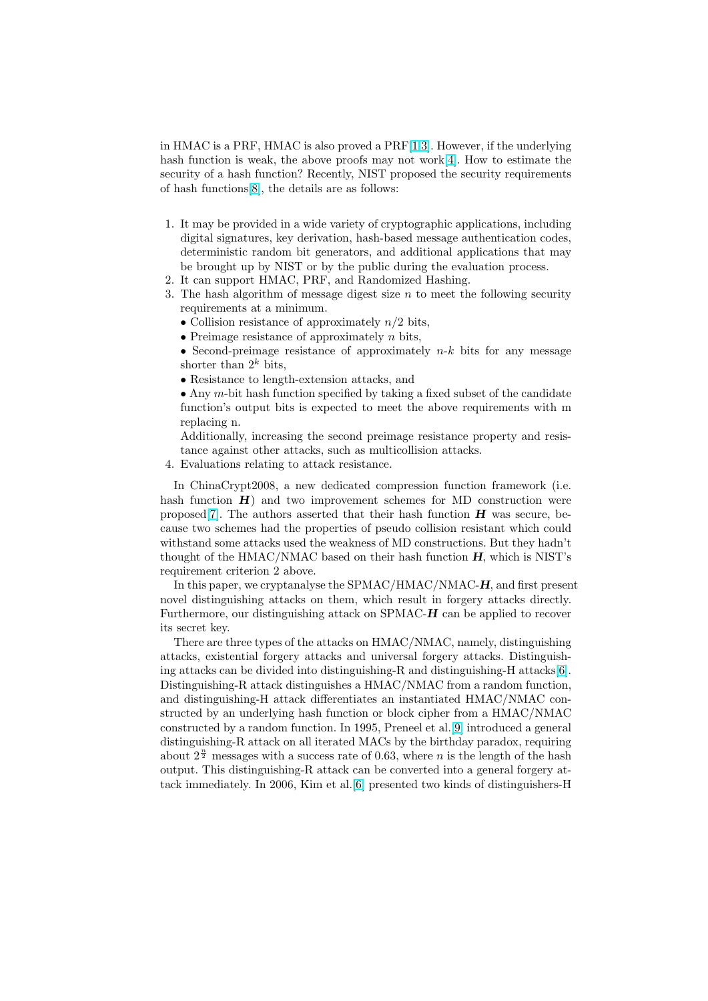in HMAC is a PRF, HMAC is also proved a PRF[1,3]. However, if the underlying hash function is weak, the above proofs may not work[4]. How to estimate the security of a hash function? Recently, NIST proposed the security requirements of hash functions[8], the details are as follows:

- 1. It may be provided in a wide variety of cryptograph[ic](#page-11-0) applications, including digital signatures, key derivation, hash-based message authentication codes, deterministic [ra](#page-11-0)ndom bit generators, and additional applications that may be brought up by NIST or by the public during the evaluation process.
- 2. It can support HMAC, PRF, and Randomized Hashing.
- 3. The hash algorithm of message digest size  $n$  to meet the following security requirements at a minimum.
	- Collision resistance of approximately  $n/2$  bits,
	- Preimage resistance of approximately  $n$  bits,
	- Second-preimage resistance of approximately  $n-k$  bits for any message shorter than  $2^k$  bits,
	- Resistance to length-extension attacks, and
	- Any  $m$ -bit hash function specified by taking a fixed subset of the candidate function's output bits is expected to meet the above requirements with m replacing n.

Additionally, increasing the second preimage resistance property and resistance against other attacks, such as multicollision attacks.

4. Evaluations relating to attack resistance.

In ChinaCrypt2008, a new dedicated compression function framework (i.e. hash function  $H$ ) and two improvement schemes for MD construction were proposed[7]. The authors asserted that their hash function  $H$  was secure, because two schemes had the properties of pseudo collision resistant which could withstand some attacks used the weakness of MD constructions. But they hadn't thought of the HMAC/NMAC based on their hash function  $H$ , which is NIST's requirem[ent](#page-11-0) criterion 2 above.

In this paper, we cryptanalyse the SPMAC/HMAC/NMAC-H, and first present novel distinguishing attacks on them, which result in forgery attacks directly. Furthermore, our distinguishing attack on SPMAC-H can be applied to recover its secret key.

There are three types of the attacks on HMAC/NMAC, namely, distinguishing attacks, existential forgery attacks and universal forgery attacks. Distinguishing attacks can be divided into distinguishing-R and distinguishing-H attacks[6]. Distinguishing-R attack distinguishes a HMAC/NMAC from a random function, and distinguishing-H attack differentiates an instantiated HMAC/NMAC constructed by an underlying hash function or block cipher from a HMAC/NMAC constructed by a random function. In 1995, Preneel et al.[9] introduced a gene[ra](#page-11-0)l distinguishing-R attack on all iterated MACs by the birthday paradox, requiring about  $2^{\frac{n}{2}}$  messages with a success rate of 0.63, where *n* is the length of the hash output. This distinguishing-R attack can be converted into a general forgery attack immediately. In 2006, Kim et al.[6] presented two k[ind](#page-11-0)s of distinguishers-H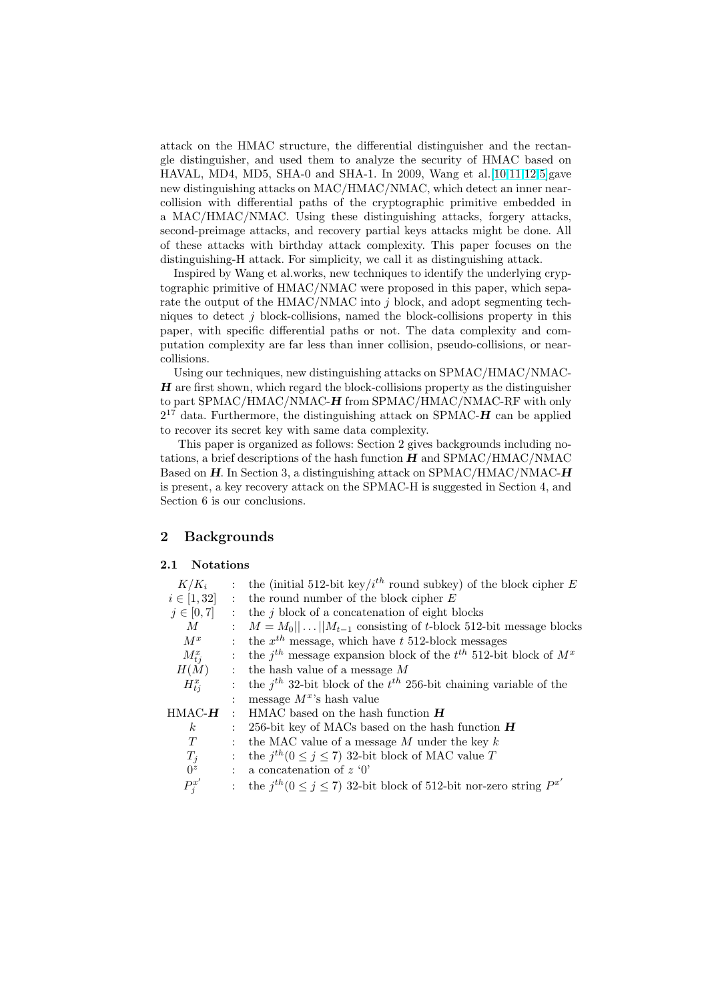attack on the HMAC structure, the differential distinguisher and the rectangle distinguisher, and used them to analyze the security of HMAC based on HAVAL, MD4, MD5, SHA-0 and SHA-1. In 2009, Wang et al.[10,11,12,5]gave new distinguishing attacks on MAC/HMAC/NMAC, which detect an inner nearcollision with differential paths of the cryptographic primitive embedded in a MAC/HMAC/NMAC. Using these distinguishing attacks, forgery attacks, second-preimage attacks, and recovery partial keys attacks mig[ht](#page-11-0) [be do](#page-12-0)[ne](#page-11-0). All of these attacks with birthday attack complexity. This paper focuses on the distinguishing-H attack. For simplicity, we call it as distinguishing attack.

Inspired by Wang et al.works, new techniques to identify the underlying cryptographic primitive of HMAC/NMAC were proposed in this paper, which separate the output of the  $HMAC/NMAC$  into j block, and adopt segmenting techniques to detect  $j$  block-collisions, named the block-collisions property in this paper, with specific differential paths or not. The data complexity and computation complexity are far less than inner collision, pseudo-collisions, or nearcollisions.

Using our techniques, new distinguishing attacks on SPMAC/HMAC/NMAC- $H$  are first shown, which regard the block-collisions property as the distinguisher to part SPMAC/HMAC/NMAC-H from SPMAC/HMAC/NMAC-RF with only  $2^{17}$  data. Furthermore, the distinguishing attack on SPMAC- $\boldsymbol{H}$  can be applied to recover its secret key with same data complexity.

This paper is organized as follows: Section 2 gives backgrounds including notations, a brief descriptions of the hash function  $H$  and  $SPMAC/HMAC/NMAC$ Based on  $H$ . In Section 3, a distinguishing attack on SPMAC/HMAC/NMAC- $H$ is present, a key recovery attack on the SPMAC-H is suggested in Section 4, and Section 6 is our conclusions.

## 2 Backgrounds

#### 2.1 Notations

| $K/K_i$                |                           | : the (initial 512-bit key/ $i^{th}$ round subkey) of the block cipher E            |
|------------------------|---------------------------|-------------------------------------------------------------------------------------|
| $i \in [1, 32]$        | $\mathbb{R}^{\mathbb{Z}}$ | the round number of the block cipher $E$                                            |
| $j \in [0, 7]$         | $\mathbb{R}^{\mathbb{Z}}$ | the $j$ block of a concatenation of eight blocks                                    |
| M                      | $\mathbf{r}$              | $M = M_0    \dots    M_{t-1}$ consisting of t-block 512-bit message blocks          |
| $M^x$                  | $\mathbf{r}$              | the $x^{th}$ message, which have t 512-block messages                               |
| $M_{ti}^x$             | $\ddot{\cdot}$            | the $j^{th}$ message expansion block of the $t^{th}$ 512-bit block of $M^x$         |
| H(M)                   | $\ddot{\phantom{a}}$      | the hash value of a message $M$                                                     |
| $H_{ti}^x$             | $\mathbf{r}$              | the $j^{th}$ 32-bit block of the $t^{th}$ 256-bit chaining variable of the          |
|                        | $\ddot{\cdot}$            | message $M^x$ 's hash value                                                         |
| $\rm{HMAC}$ - $\bm{H}$ | $\bullet$                 | $HMAC$ based on the hash function $H$                                               |
| $\boldsymbol{k}$       | $\mathbb{R}^{\mathbb{Z}}$ | 256-bit key of MACs based on the hash function $H$                                  |
| T                      | $\ddot{\cdot}$            | the MAC value of a message $M$ under the key $k$                                    |
| $T_j$                  | $\ddot{\cdot}$            | the $j^{th}$ (0 $\leq$ j $\leq$ 7) 32-bit block of MAC value T                      |
| 0 <sup>z</sup>         | $\ddot{\phantom{0}}$      | a concatenation of $z$ '0'                                                          |
| ${P^x_i}'$             |                           | : the $j^{th}$ ( $0 \le j \le 7$ ) 32-bit block of 512-bit nor-zero string $P^{x'}$ |
|                        |                           |                                                                                     |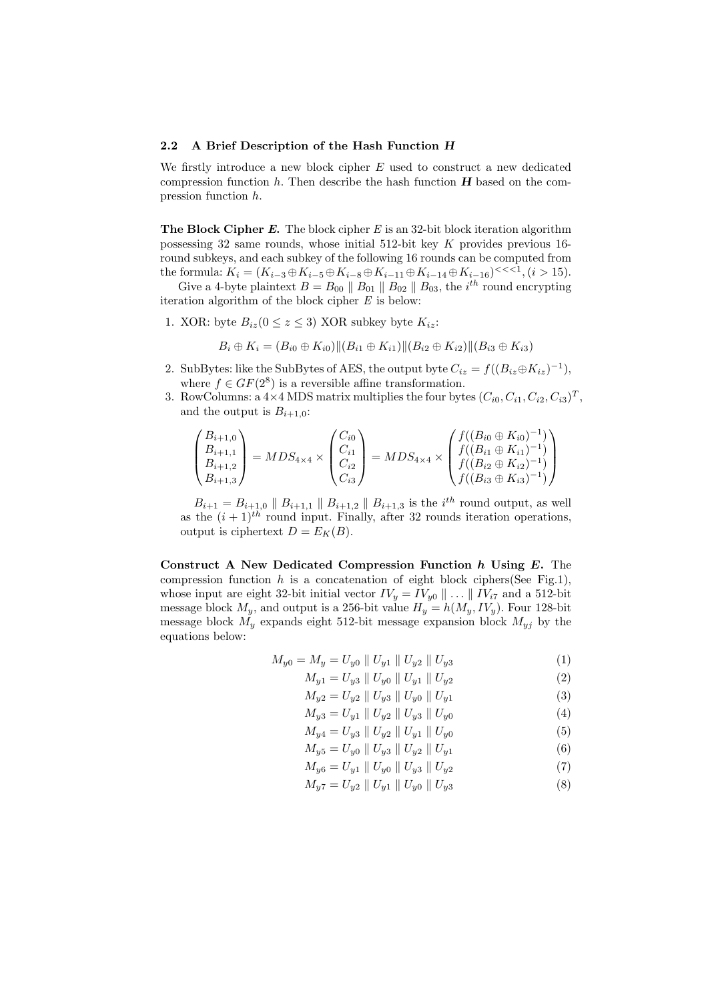#### 2.2 A Brief Description of the Hash Function H

We firstly introduce a new block cipher  $E$  used to construct a new dedicated compression function  $h$ . Then describe the hash function  $H$  based on the compression function h.

**The Block Cipher E.** The block cipher E is an 32-bit block iteration algorithm possessing 32 same rounds, whose initial 512-bit key K provides previous 16 round subkeys, and each subkey of the following 16 rounds can be computed from the formula:  $K_i = (K_{i-3} \oplus K_{i-5} \oplus K_{i-8} \oplus K_{i-11} \oplus K_{i-14} \oplus K_{i-16})^{<<1}, (i > 15).$ 

Give a 4-byte plaintext  $B = B_{00} \parallel B_{01} \parallel B_{02} \parallel B_{03}$ , the  $i^{th}$  round encrypting iteration algorithm of the block cipher  $E$  is below:

1. XOR: byte  $B_{iz}$ ( $0 \le z \le 3$ ) XOR subkey byte  $K_{iz}$ :

$$
B_i \oplus K_i = (B_{i0} \oplus K_{i0}) \|(B_{i1} \oplus K_{i1}) \|(B_{i2} \oplus K_{i2}) \|(B_{i3} \oplus K_{i3})
$$

- 2. SubBytes: like the SubBytes of AES, the output byte  $C_{iz} = f((B_{iz} \oplus K_{iz})^{-1}),$ where  $f \in GF(2^8)$  is a reversible affine transformation.
- 3. RowColumns: a  $4 \times 4$  MDS matrix multiplies the four bytes  $(C_{i0}, C_{i1}, C_{i2}, C_{i3})^T$ , and the output is  $B_{i+1,0}$ :

$$
\begin{pmatrix} B_{i+1,0} \\ B_{i+1,1} \\ B_{i+1,2} \\ B_{i+1,3} \end{pmatrix} = MDS_{4\times 4} \times \begin{pmatrix} C_{i0} \\ C_{i1} \\ C_{i2} \\ C_{i3} \end{pmatrix} = MDS_{4\times 4} \times \begin{pmatrix} f((B_{i0} \oplus K_{i0})^{-1}) \\ f((B_{i1} \oplus K_{i1})^{-1}) \\ f((B_{i2} \oplus K_{i2})^{-1}) \\ f((B_{i3} \oplus K_{i3})^{-1}) \end{pmatrix}
$$

 $B_{i+1} = B_{i+1,0} \parallel B_{i+1,1} \parallel B_{i+1,2} \parallel B_{i+1,3}$  is the  $i^{th}$  round output, as well as the  $(i + 1)<sup>th</sup>$  round input. Finally, after 32 rounds iteration operations, output is ciphertext  $D = E_K(B)$ .

Construct A New Dedicated Compression Function  $h$  Using  $E$ . The compression function h is a concatenation of eight block ciphers(See Fig.1), whose input are eight 32-bit initial vector  $IV_y = IV_{y0} \parallel ... \parallel IV_{i7}$  and a 512-bit message block  $M_y$ , and output is a 256-bit value  $H_y = h(M_y, IV_y)$ . Four 128-bit message block  $M_y$  expands eight 512-bit message expansion block  $M_{yj}$  by the equations below:

$$
M_{y0} = M_y = U_{y0} \parallel U_{y1} \parallel U_{y2} \parallel U_{y3} \tag{1}
$$

$$
M_{y1} = U_{y3} \parallel U_{y0} \parallel U_{y1} \parallel U_{y2} \tag{2}
$$

$$
M_{y2} = U_{y2} \parallel U_{y3} \parallel U_{y0} \parallel U_{y1}
$$
 (3)

$$
M_{y3} = U_{y1} \parallel U_{y2} \parallel U_{y3} \parallel U_{y0}
$$
 (4)

$$
M_{y4} = U_{y3} \parallel U_{y2} \parallel U_{y1} \parallel U_{y0}
$$
 (5)

$$
M_{y5} = U_{y0} \parallel U_{y3} \parallel U_{y2} \parallel U_{y1}
$$
\n
$$
M = U_{y1} \parallel U_{y1} \parallel U_{y1} \parallel U_{y1}
$$
\n
$$
(5)
$$

$$
M_{y6} = U_{y1} \parallel U_{y0} \parallel U_{y3} \parallel U_{y2} \tag{7}
$$

$$
M_{y7} = U_{y2} \parallel U_{y1} \parallel U_{y0} \parallel U_{y3} \tag{8}
$$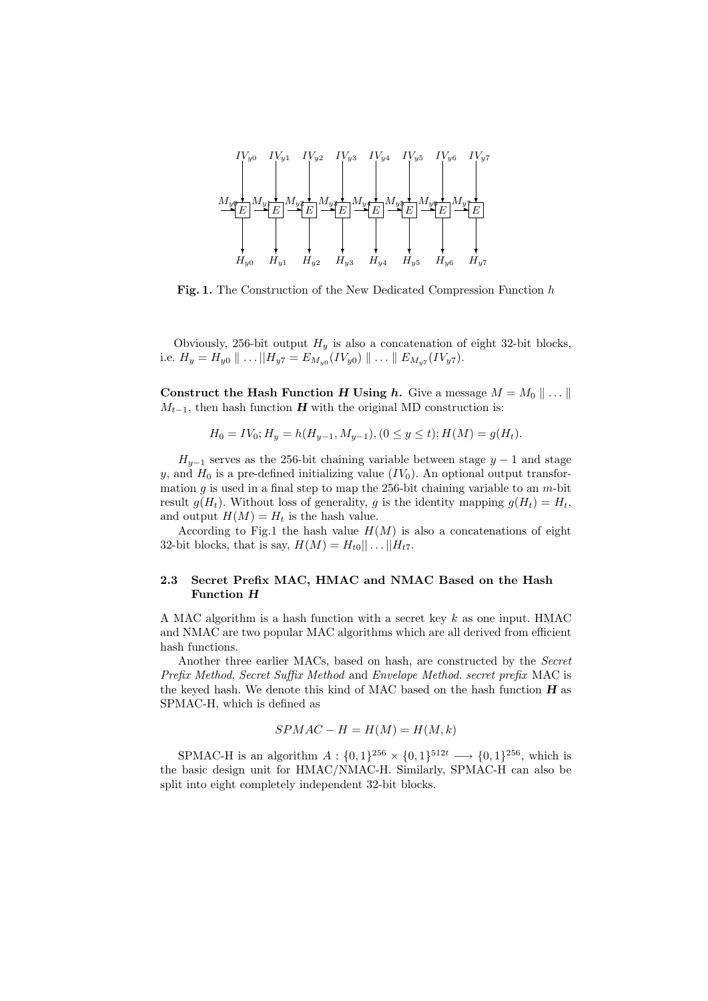

Fig. 1. The Construction of the New Dedicated Compression Function h

Obviously, 256-bit output  $H_y$  is also a concatenation of eight 32-bit blocks, i.e.  $H_y = H_{y0} \parallel ... \parallel H_{y7} = E_{M_{y0}}(IV_{y0}) \parallel ... \parallel E_{M_{y7}}(IV_{y7}).$ 

Construct the Hash Function H Using h. Give a message  $M = M_0 \parallel \ldots \parallel$  $M_{t-1}$ , then hash function **H** with the original MD construction is:

$$
H_0 = IV_0; H_y = h(H_{y-1}, M_{y-1}), (0 \le y \le t); H(M) = g(H_t).
$$

 $H_{y-1}$  serves as the 256-bit chaining variable between stage  $y-1$  and stage y, and  $H_0$  is a pre-defined initializing value  $(IV_0)$ . An optional output transformation g is used in a final step to map the 256-bit chaining variable to an  $m$ -bit result  $g(H_t)$ . Without loss of generality, g is the identity mapping  $g(H_t) = H_t$ , and output  $H(M) = H_t$  is the hash value.

According to Fig.1 the hash value  $H(M)$  is also a concatenations of eight 32-bit blocks, that is say,  $H(M) = H_{t0} \vert \vert \ldots \vert \vert H_{t7}$ .

## 2.3 Secret Prefix MAC, HMAC and NMAC Based on the Hash Function H

A MAC algorithm is a hash function with a secret key  $k$  as one input. HMAC and NMAC are two popular MAC algorithms which are all derived from efficient hash functions.

Another three earlier MACs, based on hash, are constructed by the *Secret* Prefix Method, Secret Suffix Method and Envelope Method. secret prefix MAC is the keyed hash. We denote this kind of MAC based on the hash function  $\bf{H}$  as SPMAC-H, which is defined as

$$
SPMAC - H = H(M) = H(M, k)
$$

SPMAC-H is an algorithm  $A: \{0,1\}^{256} \times \{0,1\}^{512t} \longrightarrow \{0,1\}^{256}$ , which is the basic design unit for HMAC/NMAC-H. Similarly, SPMAC-H can also be split into eight completely independent 32-bit blocks.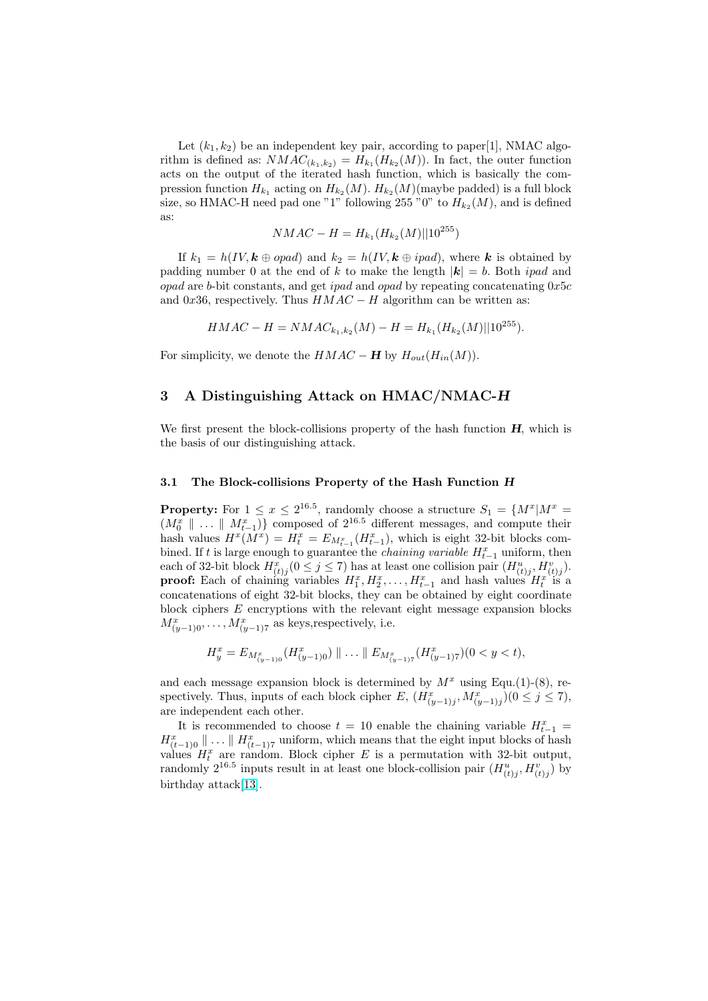Let  $(k_1, k_2)$  be an independent key pair, according to paper[1], NMAC algorithm is defined as:  $NMAC_{(k_1,k_2)} = H_{k_1}(H_{k_2}(M))$ . In fact, the outer function acts on the output of the iterated hash function, which is basically the compression function  $H_{k_1}$  acting on  $H_{k_2}(M)$ .  $H_{k_2}(M)$  (maybe padded) is a full block size, so HMAC-H need pad one "1" following 255 "0" to  $H_{k_2}(M)$ , and is defined as:

$$
NMAC - H = H_{k_1}(H_{k_2}(M)||10^{255})
$$

If  $k_1 = h(IV, k \oplus opad)$  and  $k_2 = h(IV, k \oplus ipad)$ , where k is obtained by padding number 0 at the end of k to make the length  $|\mathbf{k}| = b$ . Both *ipad* and  $opad$  are b-bit constants, and get *ipad* and *opad* by repeating concatenating  $0x5c$ and 0x36, respectively. Thus  $HMAC - H$  algorithm can be written as:

$$
HMAC - H = NMAC_{k_1, k_2}(M) - H = H_{k_1}(H_{k_2}(M)||10^{255}).
$$

For simplicity, we denote the  $HMAC - H$  by  $H_{out}(H_{in}(M))$ .

## 3 A Distinguishing Attack on HMAC/NMAC-H

We first present the block-collisions property of the hash function  $H$ , which is the basis of our distinguishing attack.

#### 3.1 The Block-collisions Property of the Hash Function H

**Property:** For  $1 \le x \le 2^{16.5}$ , randomly choose a structure  $S_1 = \{M^x | M^x =$  $(M_0^x \parallel ... \parallel M_{t-1}^x)$  composed of  $2^{16.5}$  different messages, and compute their hash values  $H^x(M^x) = H^x_t = E_{M^x_{t-1}}(H^x_{t-1})$ , which is eight 32-bit blocks combined. If t is large enough to guarantee the *chaining variable*  $H_{t-1}^x$  uniform, then each of 32-bit block  $H^x_{(t)j}(0 \leq j \leq 7)$  has at least one collision pair  $(H^u_{(t)j}, H^v_{(t)j}).$ **proof:** Each of chaining variables  $H_1^x, H_2^x, \ldots, H_{t-1}^x$  and hash values  $H_t^x$  is a concatenations of eight 32-bit blocks, they can be obtained by eight coordinate block ciphers E encryptions with the relevant eight message expansion blocks  $M_{(y-1)0}^x, \ldots, M_{(y-1)7}^x$  as keys, respectively, i.e.

$$
H_y^x = E_{M_{(y-1)0}^x}(H_{(y-1)0}^x) \parallel \ldots \parallel E_{M_{(y-1)7}^x}(H_{(y-1)7}^x)(0 < y < t),
$$

and each message expansion block is determined by  $M^x$  using Equ.(1)-(8), respectively. Thus, inputs of each block cipher E,  $(H_{(y-1)j}^x, M_{(y-1)j}^x)(0 \le j \le 7)$ , are independent each other.

It is recommended to choose  $t = 10$  enable the chaining variable  $H_{t-1}^x =$  $H_{(t-1)0}^x \parallel \ldots \parallel H_{(t-1)7}^x$  uniform, which means that the eight input blocks of hash values  $H_t^x$  are random. Block cipher E is a permutation with 32-bit output, randomly  $2^{16.5}$  inputs result in at least one block-collision pair  $(H_{(t)j}^u, H_{(t)j}^v)$  by birthday attack[13].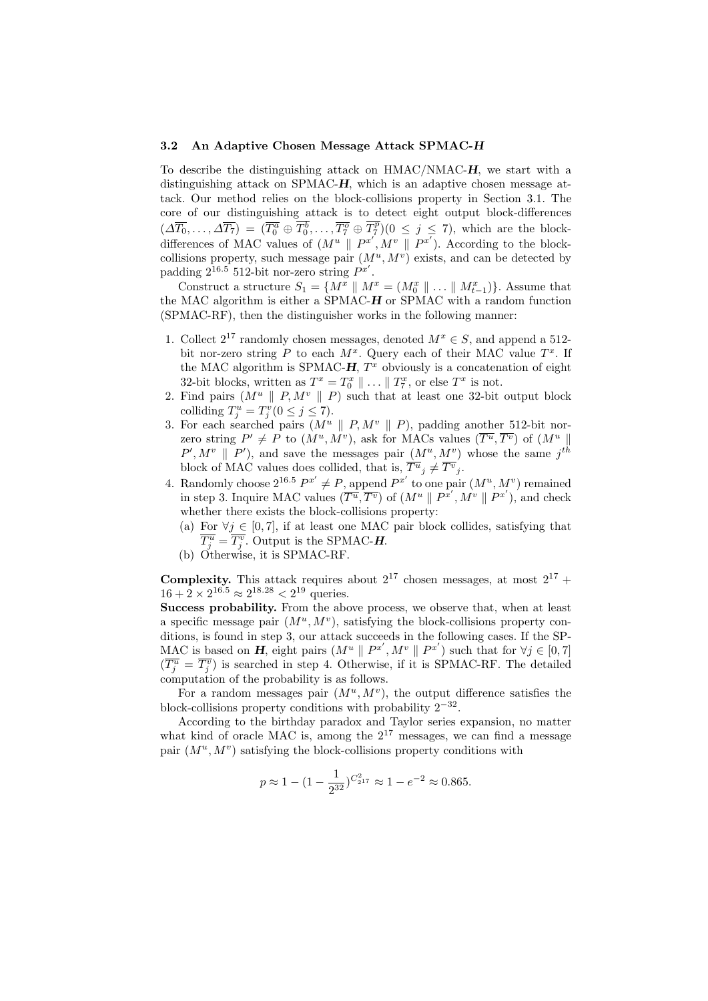#### 3.2 An Adaptive Chosen Message Attack SPMAC-H

To describe the distinguishing attack on HMAC/NMAC-H, we start with a distinguishing attack on SPMAC-H, which is an adaptive chosen message attack. Our method relies on the block-collisions property in Section 3.1. The core of our distinguishing attack is to detect eight output block-differences  $(\Delta \overline{T_0}, \ldots, \Delta \overline{T_7}) = (\overline{T_0^a} \oplus \overline{T_0^b}, \ldots, \overline{T_7^o} \oplus \overline{T_7^p})(0 \leq j \leq 7)$ , which are the blockdifferences of MAC values of  $(M^u \parallel P^{x'}, M^v \parallel P^{x'})$ . According to the blockcollisions property, such message pair  $(M^u, M^v)$  exists, and can be detected by padding  $2^{16.5}$  512-bit nor-zero string  $P^{x'}$ .

Construct a structure  $S_1 = \{M^x \parallel M^x = (M_0^x \parallel ... \parallel M_{t-1}^x)\}\.$  Assume that the MAC algorithm is either a SPMAC-H or SPMAC with a random function (SPMAC-RF), then the distinguisher works in the following manner:

- 1. Collect  $2^{17}$  randomly chosen messages, denoted  $M^x \in S$ , and append a 512bit nor-zero string P to each  $M^x$ . Query each of their MAC value  $T^x$ . If the MAC algorithm is SPMAC- $H$ ,  $T^x$  obviously is a concatenation of eight 32-bit blocks, written as  $T^x = T_0^x \parallel \dots \parallel T_7^x$ , or else  $T^x$  is not.
- 2. Find pairs  $(M^u \parallel P, M^v \parallel P)$  such that at least one 32-bit output block colliding  $T_j^u = T_j^v (0 \le j \le 7)$ .
- 3. For each searched pairs  $(M^u \parallel P, M^v \parallel P)$ , padding another 512-bit norzero string  $P' \neq P$  to  $(M^u, M^v)$ , ask for MACs values  $(\overline{T^u}, \overline{T^v})$  of  $(M^u \parallel$  $P', M^v \parallel P'$ , and save the messages pair  $(M^u, M^v)$  whose the same j<sup>th</sup> block of MAC values does collided, that is,  $\overline{T^u}_j \neq \overline{T^v}_j$ .
- 4. Randomly choose  $2^{16.5} P^{x'} \neq P$ , append  $P^{x'}$  to one pair  $(M^u, M^v)$  remained in step 3. Inquire MAC values  $(\overline{T^u}, \overline{T^v})$  of  $(M^u \parallel P^{x'}, M^v \parallel P^{x'})$ , and check whether there exists the block-collisions property:
	- (a) For  $\forall j \in [0, 7]$ , if at least one MAC pair block collides, satisfying that  $\overline{T_j^u} = \overline{T_j^v}$ . Output is the SPMAC-H.
	- (b) Otherwise, it is SPMAC-RF.

**Complexity.** This attack requires about  $2^{17}$  chosen messages, at most  $2^{17}$  +  $16 + 2 \times 2^{16.5} \approx 2^{18.28} < 2^{19}$  queries.

Success probability. From the above process, we observe that, when at least a specific message pair  $(M^u, M^v)$ , satisfying the block-collisions property conditions, is found in step 3, our attack succeeds in the following cases. If the SP-MAC is based on **H**, eight pairs  $(M^u \parallel P^{x'}, M^v \parallel P^{x'})$  such that for  $\forall j \in [0, 7]$  $(\overline{T_j^u} = \overline{T_j^v})$  is searched in step 4. Otherwise, if it is SPMAC-RF. The detailed computation of the probability is as follows.

For a random messages pair  $(M^u, M^v)$ , the output difference satisfies the block-collisions property conditions with probability  $2^{-32}$ .

According to the birthday paradox and Taylor series expansion, no matter what kind of oracle MAC is, among the  $2^{17}$  messages, we can find a message pair  $(M^u, M^v)$  satisfying the block-collisions property conditions with

$$
p \approx 1 - (1 - \frac{1}{2^{32}})^{C_{2^{17}}} \approx 1 - e^{-2} \approx 0.865.
$$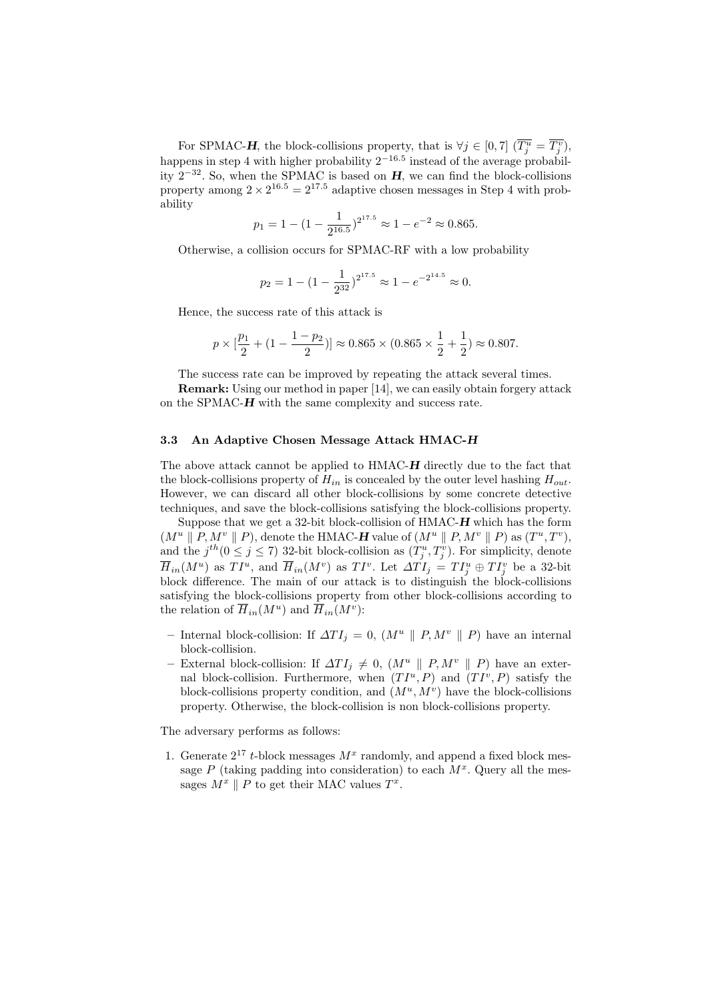For SPMAC-H, the block-collisions property, that is  $\forall j \in [0, 7]$   $(\overline{T_j^u} = \overline{T_j^v})$ , happens in step 4 with higher probability  $2^{-16.5}$  instead of the average probability  $2^{-32}$ . So, when the SPMAC is based on H, we can find the block-collisions property among  $2 \times 2^{16.5} = 2^{17.5}$  adaptive chosen messages in Step 4 with probability

$$
p_1 = 1 - (1 - \frac{1}{2^{16.5}})^{2^{17.5}} \approx 1 - e^{-2} \approx 0.865.
$$

Otherwise, a collision occurs for SPMAC-RF with a low probability

$$
p_2 = 1 - (1 - \frac{1}{2^{32}})^{2^{17.5}} \approx 1 - e^{-2^{14.5}} \approx 0.
$$

Hence, the success rate of this attack is

$$
p \times [\frac{p_1}{2} + (1 - \frac{1-p_2}{2})] \approx 0.865 \times (0.865 \times \frac{1}{2} + \frac{1}{2}) \approx 0.807.
$$

The success rate can be improved by repeating the attack several times.

Remark: Using our method in paper [14], we can easily obtain forgery attack on the SPMAC-H with the same complexity and success rate.

#### 3.3 An Adaptive Chosen Message Attack HMAC-H

The above attack cannot be applied to HMAC-H directly due to the fact that the block-collisions property of  $H_{in}$  is concealed by the outer level hashing  $H_{out}$ . However, we can discard all other block-collisions by some concrete detective techniques, and save the block-collisions satisfying the block-collisions property.

Suppose that we get a 32-bit block-collision of  $HMAC-H$  which has the form  $(M^u \parallel P, M^v \parallel P)$ , denote the HMAC-H value of  $(M^u \parallel P, M^v \parallel P)$  as  $(T^u, T^v)$ , and the  $j^{th}$  ( $0 \le j \le 7$ ) 32-bit block-collision as  $(T_j^u, T_j^v)$ . For simplicity, denote  $\overline{H}_{in}(M^u)$  as  $TI^u$ , and  $\overline{H}_{in}(M^v)$  as  $TI^v$ . Let  $\Delta TI_j = TI_j^u \oplus TI_j^v$  be a 32-bit block difference. The main of our attack is to distinguish the block-collisions satisfying the block-collisions property from other block-collisions according to the relation of  $\overline{H}_{in}(M^u)$  and  $\overline{H}_{in}(M^v)$ :

- Internal block-collision: If  $\Delta TI_j = 0$ ,  $(M^u \parallel P, M^v \parallel P)$  have an internal block-collision.
- External block-collision: If  $\Delta T I_i \neq 0$ ,  $(M^u \parallel P, M^v \parallel P)$  have an external block-collision. Furthermore, when  $(TI^u, P)$  and  $(TI^v, P)$  satisfy the block-collisions property condition, and  $(M^u, M^v)$  have the block-collisions property. Otherwise, the block-collision is non block-collisions property.

The adversary performs as follows:

1. Generate  $2^{17}$  t-block messages  $M^x$  randomly, and append a fixed block message  $P$  (taking padding into consideration) to each  $M^x$ . Query all the messages  $M^x \parallel P$  to get their MAC values  $T^x$ .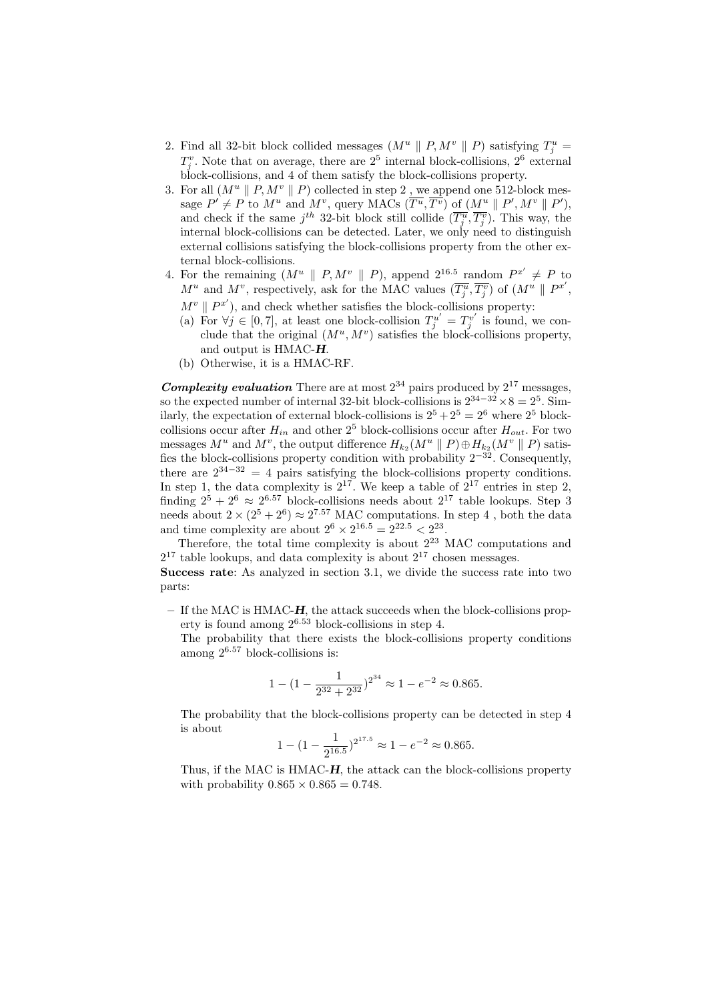- 2. Find all 32-bit block collided messages  $(M^u \parallel P, M^v \parallel P)$  satisfying  $T^u_j =$  $T_j^v$ . Note that on average, there are  $2^5$  internal block-collisions,  $2^6$  external block-collisions, and 4 of them satisfy the block-collisions property.
- 3. For all  $(M^u \parallel P, M^v \parallel P)$  collected in step 2, we append one 512-block message  $P' \neq P$  to  $M^u$  and  $M^v$ , query MACs  $(\overline{T^u}, \overline{T^v})$  of  $(M^u \parallel P', M^v \parallel P')$ , and check if the same  $j^{th}$  32-bit block still collide  $(\overline{T_j^u}, \overline{T_j^v})$ . This way, the internal block-collisions can be detected. Later, we only need to distinguish external collisions satisfying the block-collisions property from the other external block-collisions.
- 4. For the remaining  $(M^u \parallel P, M^v \parallel P)$ , append  $2^{16.5}$  random  $P^{x'} \neq P$  to  $M^u$  and  $M^v$ , respectively, ask for the MAC values  $(\overline{T_j^u}, \overline{T_j^v})$  of  $(M^u \parallel P^{x'}),$  $M^v \parallel P^{x'}$ ), and check whether satisfies the block-collisions property:
	- (a) For  $\forall j \in [0,7]$ , at least one block-collision  $T_j^{u'} = T_j^{v'}$  is found, we conclude that the original  $(M^u, M^v)$  satisfies the block-collisions property, and output is HMAC-H.
	- (b) Otherwise, it is a HMAC-RF.

**Complexity evaluation** There are at most  $2^{34}$  pairs produced by  $2^{17}$  messages, so the expected number of internal 32-bit block-collisions is  $2^{34-32} \times 8 = 2^5$ . Similarly, the expectation of external block-collisions is  $2^5 + 2^5 = 2^6$  where  $2^5$  blockcollisions occur after  $H_{in}$  and other  $2^5$  block-collisions occur after  $H_{out}$ . For two messages  $M^u$  and  $M^v$ , the output difference  $H_{k_2}(M^u \parallel P) \oplus H_{k_2}(M^v \parallel P)$  satisfies the block-collisions property condition with probability  $2^{-32}$ . Consequently, there are  $2^{34-32} = 4$  pairs satisfying the block-collisions property conditions. In step 1, the data complexity is  $2^{17}$ . We keep a table of  $2^{17}$  entries in step 2, finding  $2^5 + 2^6 \approx 2^{6.57}$  block-collisions needs about  $2^{17}$  table lookups. Step 3 needs about  $2 \times (2^5 + 2^6) \approx 2^{7.57}$  MAC computations. In step 4, both the data and time complexity are about  $2^6 \times 2^{16.5} = 2^{22.5} < 2^{23}$ .

Therefore, the total time complexity is about  $2^{23}$  MAC computations and  $2^{17}$  table lookups, and data complexity is about  $2^{17}$  chosen messages.

Success rate: As analyzed in section 3.1, we divide the success rate into two parts:

– If the MAC is HMAC-H, the attack succeeds when the block-collisions property is found among  $2^{6.53}$  block-collisions in step 4.

The probability that there exists the block-collisions property conditions among  $2^{6.57}$  block-collisions is:

$$
1 - (1 - \frac{1}{2^{32} + 2^{32}})^{2^{34}} \approx 1 - e^{-2} \approx 0.865.
$$

The probability that the block-collisions property can be detected in step 4 is about

$$
1 - (1 - \frac{1}{2^{16.5}})^{2^{17.5}} \approx 1 - e^{-2} \approx 0.865.
$$

Thus, if the MAC is HMAC-H, the attack can the block-collisions property with probability  $0.865 \times 0.865 = 0.748$ .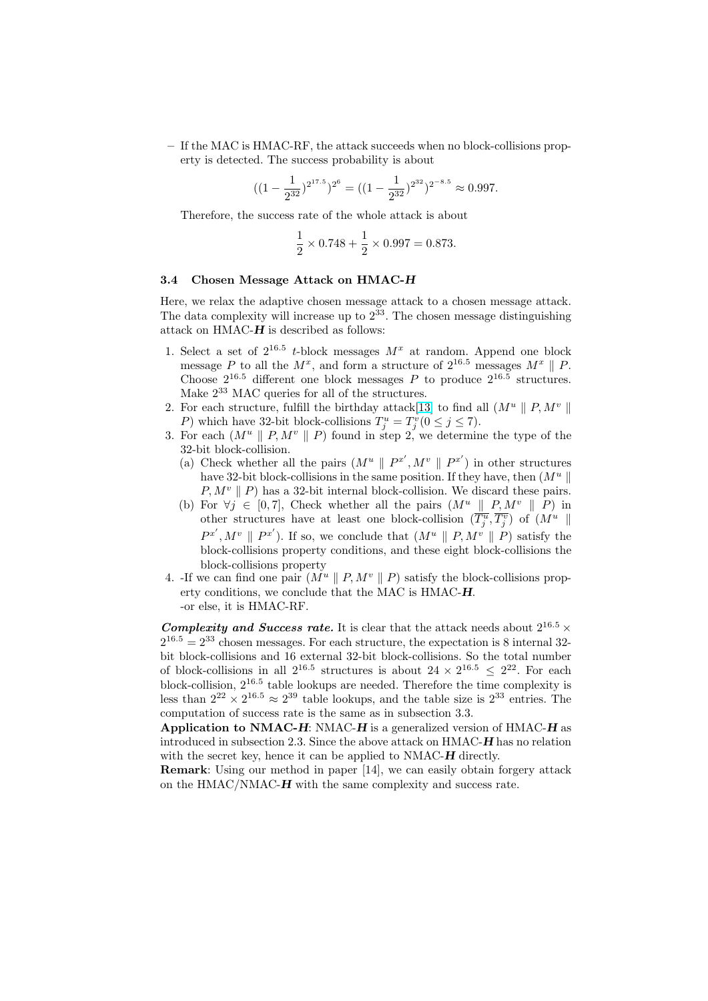– If the MAC is HMAC-RF, the attack succeeds when no block-collisions property is detected. The success probability is about

$$
((1 - \frac{1}{2^{32}})^{2^{17.5}})^{2^6} = ((1 - \frac{1}{2^{32}})^{2^{32}})^{2^{-8.5}} \approx 0.997.
$$

Therefore, the success rate of the whole attack is about

$$
\frac{1}{2} \times 0.748 + \frac{1}{2} \times 0.997 = 0.873.
$$

#### 3.4 Chosen Message Attack on HMAC-H

Here, we relax the adaptive chosen message attack to a chosen message attack. The data complexity will increase up to  $2^{33}$ . The chosen message distinguishing attack on HMAC- $H$  is described as follows:

- 1. Select a set of  $2^{16.5}$  t-block messages  $M^x$  at random. Append one block message P to all the  $M^x$ , and form a structure of  $2^{16.5}$  messages  $M^x \parallel P$ . Choose  $2^{16.5}$  different one block messages P to produce  $2^{16.5}$  structures. Make  $2^{33}$  MAC queries for all of the structures.
- 2. For each structure, fulfill the birthday attack[13] to find all  $(M^u \parallel P, M^v \parallel$ P) which have 32-bit block-collisions  $T_j^u = T_j^v (0 \le j \le 7)$ .
- 3. For each  $(M^u \parallel P, M^v \parallel P)$  found in step 2, we determine the type of the 32-bit block-collision.
	- (a) Check whether all the pairs  $(M^u \parallel P^{x'}, M^v \parallel P^{x'})$  $(M^u \parallel P^{x'}, M^v \parallel P^{x'})$  $(M^u \parallel P^{x'}, M^v \parallel P^{x'})$  in other structures have 32-bit block-collisions in the same position. If they have, then  $(M^u \parallel$  $P, M^v \parallel P$  has a 32-bit internal block-collision. We discard these pairs.
	- (b) For  $\forall j \in [0, 7]$ , Check whether all the pairs  $(M^u \parallel P, M^v \parallel P)$  in other structures have at least one block-collision  $(\overline{T_j^u}, \overline{T_j^v})$  of  $(M^u \parallel$  $P^{x'}, M^v \parallel P^{x'}$ ). If so, we conclude that  $(M^u \parallel P, M^v \parallel P)$  satisfy the block-collisions property conditions, and these eight block-collisions the block-collisions property
- 4. If we can find one pair  $(M^u \parallel P, M^v \parallel P)$  satisfy the block-collisions property conditions, we conclude that the MAC is HMAC-H. -or else, it is HMAC-RF.

Complexity and Success rate. It is clear that the attack needs about  $2^{16.5} \times$  $2^{16.5} = 2^{33}$  chosen messages. For each structure, the expectation is 8 internal 32bit block-collisions and 16 external 32-bit block-collisions. So the total number of block-collisions in all  $2^{16.5}$  structures is about  $24 \times 2^{16.5} \leq 2^{22}$ . For each block-collision,  $2^{16.5}$  table lookups are needed. Therefore the time complexity is less than  $2^{22} \times 2^{16.5} \approx 2^{39}$  table lookups, and the table size is  $2^{33}$  entries. The computation of success rate is the same as in subsection 3.3.

Application to NMAC-H: NMAC-H is a generalized version of HMAC-H as introduced in subsection 2.3. Since the above attack on HMAC-H has no relation with the secret key, hence it can be applied to NMAC-H directly.

Remark: Using our method in paper [14], we can easily obtain forgery attack on the HMAC/NMAC-H with the same complexity and success rate.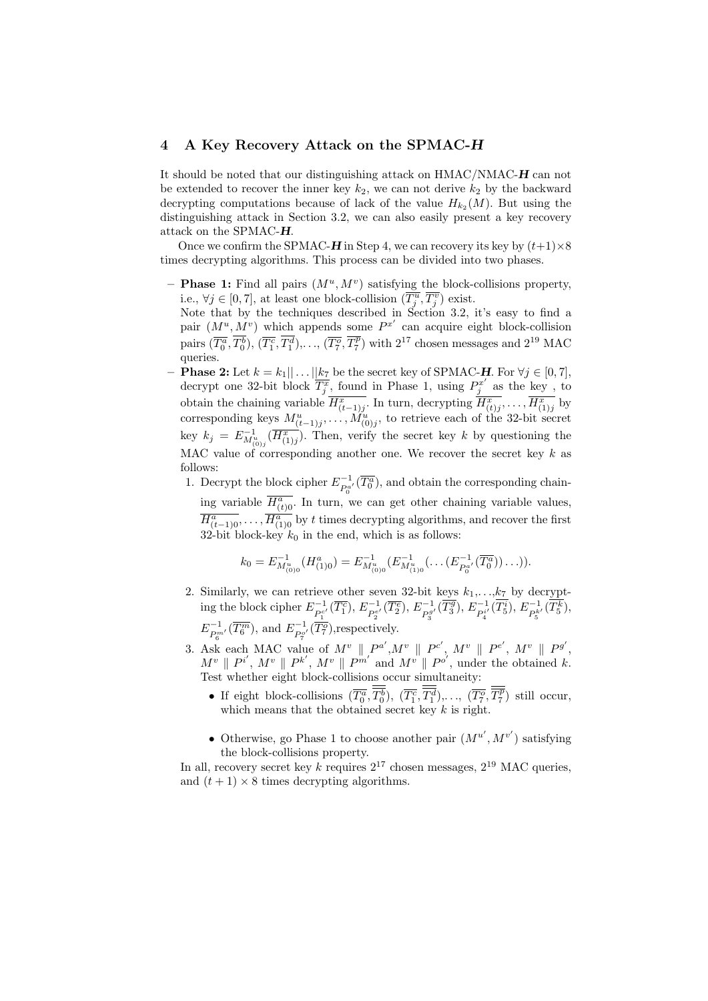## 4 A Key Recovery Attack on the SPMAC-H

It should be noted that our distinguishing attack on HMAC/NMAC-H can not be extended to recover the inner key  $k_2$ , we can not derive  $k_2$  by the backward decrypting computations because of lack of the value  $H_{k_2}(M)$ . But using the distinguishing attack in Section 3.2, we can also easily present a key recovery attack on the SPMAC-H.

Once we confirm the SPMAC-H in Step 4, we can recovery its key by  $(t+1)\times 8$ times decrypting algorithms. This process can be divided into two phases.

- **Phase 1:** Find all pairs  $(M^u, M^v)$  satisfying the block-collisions property, i.e.,  $\forall j \in [0, 7]$ , at least one block-collision  $(\overline{T_j^u}, \overline{T_j^v})$  exist.
- Note that by the techniques described in Section 3.2, it's easy to find a pair  $(M^u, M^v)$  which appends some  $P^{x'}$  can acquire eight block-collision pairs  $(\overline{T_0^a}, \overline{T_0^b})$ ,  $(\overline{T_1^c}, \overline{T_1^d})$ ,...,  $(\overline{T_7^o}, \overline{T_7^p})$  with  $2^{17}$  chosen messages and  $2^{19}$  MAC queries.
- **Phase 2:** Let  $k = k_1 || \dots || k_7$  be the secret key of SPMAC-H. For  $\forall j \in [0, 7]$ , decrypt one 32-bit block  $\overline{T_j^x}$ , found in Phase 1, using  $P_j^{x'}$  as the key, to obtain the chaining variable  $\overline{H_{(t-1)j}^x}$ . In turn, decrypting  $\overline{H_{(t)j}^x}$ , ...,  $\overline{H_{(1)j}^x}$  by corresponding keys  $M^u_{(t-1)j}, \ldots, M^u_{(0)j}$ , to retrieve each of the 32-bit secret key  $k_j = E_{M_{(0)j}}^{-1}(\overline{H_{(1)j}^x})$ . Then, verify the secret key k by questioning the MAC value of corresponding another one. We recover the secret key  $k$  as follows:
	- 1. Decrypt the block cipher  $E_{P_0^{a'}}^{-1}(\overline{T_0^a})$ , and obtain the corresponding chaining variable  $\overline{H_{(t)}^a}$ . In turn, we can get other chaining variable values,  $\overline{H_{(t-1)0}^a}, \ldots, \overline{H_{(1)0}^a}$  by t times decrypting algorithms, and recover the first 32-bit block-key  $k_0$  in the end, which is as follows:

$$
k_0 = E_{M_{(0)0}^u}^{-1}(H_{(1)0}^a) = E_{M_{(0)0}^u}^{-1}(E_{M_{(1)0}^u}^{-1}(\ldots(E_{P_0^{a'}}^{-1}(\overline{T_0^a}))\ldots)).
$$

- 2. Similarly, we can retrieve other seven 32-bit keys  $k_1, \ldots, k_7$  by decrypting the block cipher  $E^{-1}_{P_1^{c'}}(\overline{T_1^c}), E^{-1}_{P_2^{e'}}(\overline{T_2^e}), E^{-1}_{P_3^g}$  $E_{P_3^{g'}}^{-1}(\overline{T_3^g}), E_{P_4^{i'}}^{-1}$  $E_{P_4^{i'}}^{-1}(\overline{T_5^i}),\,E_{P_5^{k'}}^{-1}(\overline{T_5^k}),$  $E^{-1}_{P_6^{m'}}(\overline{T_6^m})$ , and  $E^{-1}_{P_7^{\sigma'}}(\overline{T_7^o})$ , respectively.
- 3. Ask each MAC value of  $M^v \parallel P^{a'}, M^v \parallel P^{c'}, M^v \parallel P^{e'}, M^v \parallel P^{g'},$  $M^v \parallel P^{i'}, M^v \parallel P^{k'}, M^v \parallel P^{m'}$  and  $M^{v'} \parallel P^{o'}$ , under the obtained k. Test whether eight block-collisions occur simultaneity:
	- If eight block-collisions  $(\overline{T_0^a}, \overline{T_0^b})$ ,  $(\overline{T_1^c}, \overline{T_1^d})$ ,...,  $(\overline{T_7^o}, \overline{T_7^p})$  still occur, which means that the obtained secret key  $k$  is right.
	- Otherwise, go Phase 1 to choose another pair  $(M^{u'}, M^{v'})$  satisfying the block-collisions property.

In all, recovery secret key k requires  $2^{17}$  chosen messages,  $2^{19}$  MAC queries, and  $(t + 1) \times 8$  times decrypting algorithms.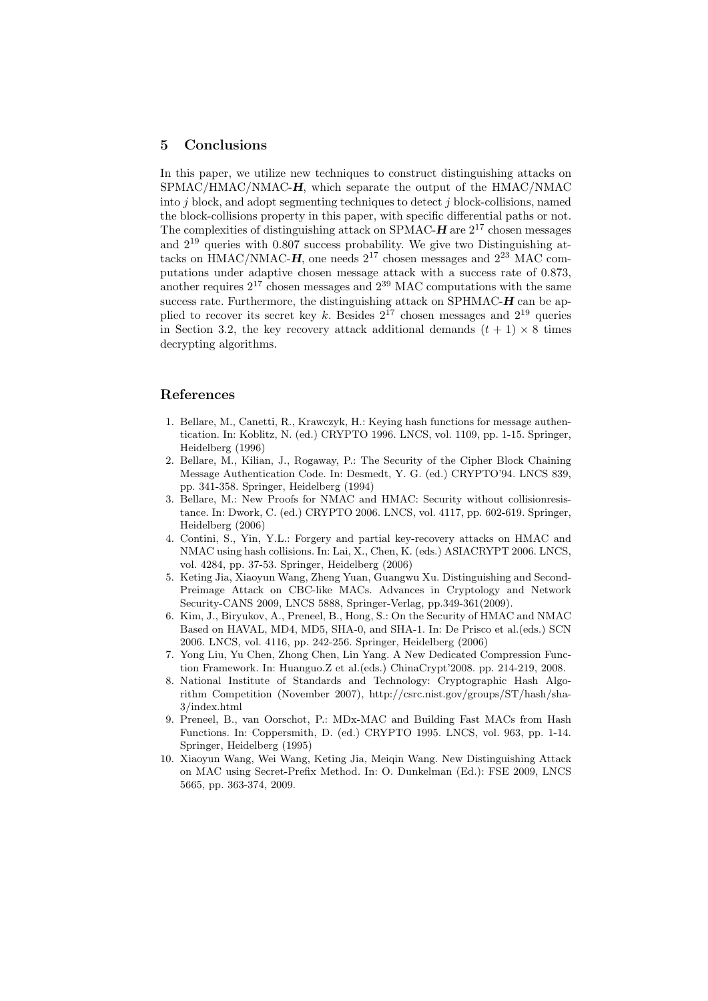### <span id="page-11-0"></span>5 Conclusions

In this paper, we utilize new techniques to construct distinguishing attacks on SPMAC/HMAC/NMAC-H, which separate the output of the HMAC/NMAC into  $j$  block, and adopt segmenting techniques to detect  $j$  block-collisions, named the block-collisions property in this paper, with specific differential paths or not. The complexities of distinguishing attack on SPMAC- $H$  are  $2^{17}$  chosen messages and  $2^{19}$  queries with 0.807 success probability. We give two Distinguishing attacks on HMAC/NMAC- $H$ , one needs  $2^{17}$  chosen messages and  $2^{23}$  MAC computations under adaptive chosen message attack with a success rate of 0.873, another requires  $2^{17}$  chosen messages and  $2^{39}$  MAC computations with the same success rate. Furthermore, the distinguishing attack on SPHMAC- $H$  can be applied to recover its secret key k. Besides  $2^{17}$  chosen messages and  $2^{19}$  queries in Section 3.2, the key recovery attack additional demands  $(t + 1) \times 8$  times decrypting algorithms.

## References

- 1. Bellare, M., Canetti, R., Krawczyk, H.: Keying hash functions for message authentication. In: Koblitz, N. (ed.) CRYPTO 1996. LNCS, vol. 1109, pp. 1-15. Springer, Heidelberg (1996)
- 2. Bellare, M., Kilian, J., Rogaway, P.: The Security of the Cipher Block Chaining Message Authentication Code. In: Desmedt, Y. G. (ed.) CRYPTO'94. LNCS 839, pp. 341-358. Springer, Heidelberg (1994)
- 3. Bellare, M.: New Proofs for NMAC and HMAC: Security without collisionresistance. In: Dwork, C. (ed.) CRYPTO 2006. LNCS, vol. 4117, pp. 602-619. Springer, Heidelberg (2006)
- 4. Contini, S., Yin, Y.L.: Forgery and partial key-recovery attacks on HMAC and NMAC using hash collisions. In: Lai, X., Chen, K. (eds.) ASIACRYPT 2006. LNCS, vol. 4284, pp. 37-53. Springer, Heidelberg (2006)
- 5. Keting Jia, Xiaoyun Wang, Zheng Yuan, Guangwu Xu. Distinguishing and Second-Preimage Attack on CBC-like MACs. Advances in Cryptology and Network Security-CANS 2009, LNCS 5888, Springer-Verlag, pp.349-361(2009).
- 6. Kim, J., Biryukov, A., Preneel, B., Hong, S.: On the Security of HMAC and NMAC Based on HAVAL, MD4, MD5, SHA-0, and SHA-1. In: De Prisco et al.(eds.) SCN 2006. LNCS, vol. 4116, pp. 242-256. Springer, Heidelberg (2006)
- 7. Yong Liu, Yu Chen, Zhong Chen, Lin Yang. A New Dedicated Compression Function Framework. In: Huanguo.Z et al.(eds.) ChinaCrypt'2008. pp. 214-219, 2008.
- 8. National Institute of Standards and Technology: Cryptographic Hash Algorithm Competition (November 2007), http://csrc.nist.gov/groups/ST/hash/sha-3/index.html
- 9. Preneel, B., van Oorschot, P.: MDx-MAC and Building Fast MACs from Hash Functions. In: Coppersmith, D. (ed.) CRYPTO 1995. LNCS, vol. 963, pp. 1-14. Springer, Heidelberg (1995)
- 10. Xiaoyun Wang, Wei Wang, Keting Jia, Meiqin Wang. New Distinguishing Attack on MAC using Secret-Prefix Method. In: O. Dunkelman (Ed.): FSE 2009, LNCS 5665, pp. 363-374, 2009.